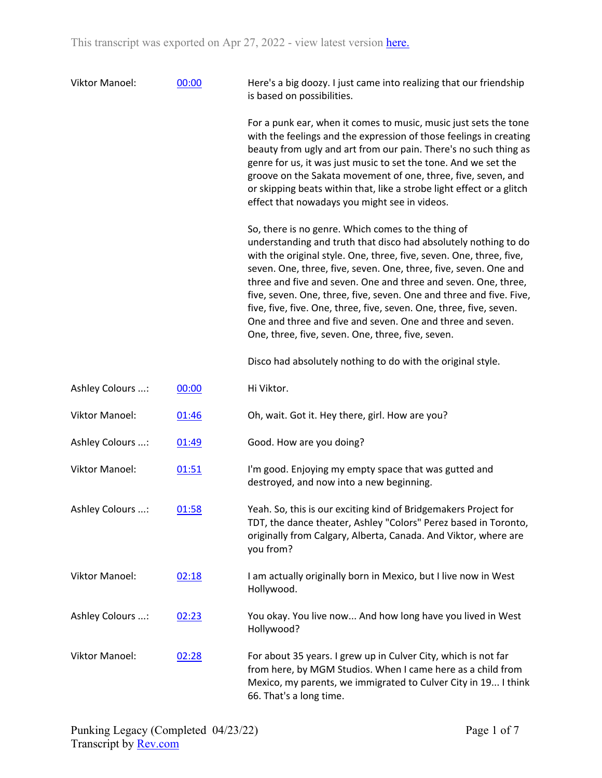| Viktor Manoel:        | 00:00 | Here's a big doozy. I just came into realizing that our friendship<br>is based on possibilities.                                                                                                                                                                                                                                                                                                                                                                                                                                                                                                    |
|-----------------------|-------|-----------------------------------------------------------------------------------------------------------------------------------------------------------------------------------------------------------------------------------------------------------------------------------------------------------------------------------------------------------------------------------------------------------------------------------------------------------------------------------------------------------------------------------------------------------------------------------------------------|
|                       |       | For a punk ear, when it comes to music, music just sets the tone<br>with the feelings and the expression of those feelings in creating<br>beauty from ugly and art from our pain. There's no such thing as<br>genre for us, it was just music to set the tone. And we set the<br>groove on the Sakata movement of one, three, five, seven, and<br>or skipping beats within that, like a strobe light effect or a glitch<br>effect that nowadays you might see in videos.                                                                                                                            |
|                       |       | So, there is no genre. Which comes to the thing of<br>understanding and truth that disco had absolutely nothing to do<br>with the original style. One, three, five, seven. One, three, five,<br>seven. One, three, five, seven. One, three, five, seven. One and<br>three and five and seven. One and three and seven. One, three,<br>five, seven. One, three, five, seven. One and three and five. Five,<br>five, five, five. One, three, five, seven. One, three, five, seven.<br>One and three and five and seven. One and three and seven.<br>One, three, five, seven. One, three, five, seven. |
|                       |       | Disco had absolutely nothing to do with the original style.                                                                                                                                                                                                                                                                                                                                                                                                                                                                                                                                         |
| Ashley Colours :      | 00:00 | Hi Viktor.                                                                                                                                                                                                                                                                                                                                                                                                                                                                                                                                                                                          |
| <b>Viktor Manoel:</b> | 01:46 | Oh, wait. Got it. Hey there, girl. How are you?                                                                                                                                                                                                                                                                                                                                                                                                                                                                                                                                                     |
| Ashley Colours :      | 01:49 | Good. How are you doing?                                                                                                                                                                                                                                                                                                                                                                                                                                                                                                                                                                            |
| <b>Viktor Manoel:</b> | 01:51 | I'm good. Enjoying my empty space that was gutted and<br>destroyed, and now into a new beginning.                                                                                                                                                                                                                                                                                                                                                                                                                                                                                                   |
| Ashley Colours :      | 01:58 | Yeah. So, this is our exciting kind of Bridgemakers Project for<br>TDT, the dance theater, Ashley "Colors" Perez based in Toronto,<br>originally from Calgary, Alberta, Canada. And Viktor, where are<br>you from?                                                                                                                                                                                                                                                                                                                                                                                  |
| <b>Viktor Manoel:</b> | 02:18 | I am actually originally born in Mexico, but I live now in West<br>Hollywood.                                                                                                                                                                                                                                                                                                                                                                                                                                                                                                                       |
| Ashley Colours :      | 02:23 | You okay. You live now And how long have you lived in West<br>Hollywood?                                                                                                                                                                                                                                                                                                                                                                                                                                                                                                                            |
| <b>Viktor Manoel:</b> | 02:28 | For about 35 years. I grew up in Culver City, which is not far<br>from here, by MGM Studios. When I came here as a child from<br>Mexico, my parents, we immigrated to Culver City in 19 I think<br>66. That's a long time.                                                                                                                                                                                                                                                                                                                                                                          |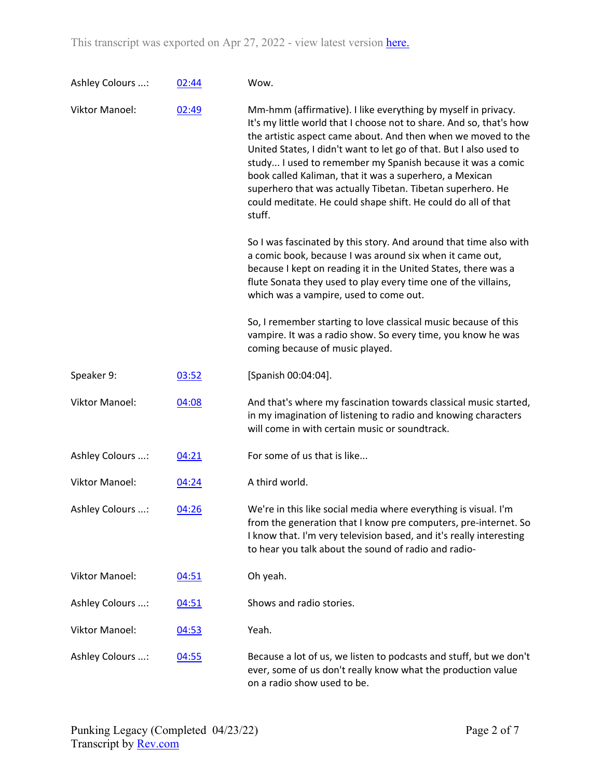| Ashley Colours :      | 02:44 | Wow.                                                                                                                                                                                                                                                                                                                                                                                                                                                                                                                                          |
|-----------------------|-------|-----------------------------------------------------------------------------------------------------------------------------------------------------------------------------------------------------------------------------------------------------------------------------------------------------------------------------------------------------------------------------------------------------------------------------------------------------------------------------------------------------------------------------------------------|
| <b>Viktor Manoel:</b> | 02:49 | Mm-hmm (affirmative). I like everything by myself in privacy.<br>It's my little world that I choose not to share. And so, that's how<br>the artistic aspect came about. And then when we moved to the<br>United States, I didn't want to let go of that. But I also used to<br>study I used to remember my Spanish because it was a comic<br>book called Kaliman, that it was a superhero, a Mexican<br>superhero that was actually Tibetan. Tibetan superhero. He<br>could meditate. He could shape shift. He could do all of that<br>stuff. |
|                       |       | So I was fascinated by this story. And around that time also with<br>a comic book, because I was around six when it came out,<br>because I kept on reading it in the United States, there was a<br>flute Sonata they used to play every time one of the villains,<br>which was a vampire, used to come out.                                                                                                                                                                                                                                   |
|                       |       | So, I remember starting to love classical music because of this<br>vampire. It was a radio show. So every time, you know he was<br>coming because of music played.                                                                                                                                                                                                                                                                                                                                                                            |
| Speaker 9:            | 03:52 | [Spanish 00:04:04].                                                                                                                                                                                                                                                                                                                                                                                                                                                                                                                           |
| <b>Viktor Manoel:</b> | 04:08 | And that's where my fascination towards classical music started,<br>in my imagination of listening to radio and knowing characters<br>will come in with certain music or soundtrack.                                                                                                                                                                                                                                                                                                                                                          |
| Ashley Colours :      | 04:21 | For some of us that is like                                                                                                                                                                                                                                                                                                                                                                                                                                                                                                                   |
| <b>Viktor Manoel:</b> | 04:24 | A third world.                                                                                                                                                                                                                                                                                                                                                                                                                                                                                                                                |
| Ashley Colours :      | 04:26 | We're in this like social media where everything is visual. I'm<br>from the generation that I know pre computers, pre-internet. So<br>I know that. I'm very television based, and it's really interesting<br>to hear you talk about the sound of radio and radio-                                                                                                                                                                                                                                                                             |
| <b>Viktor Manoel:</b> | 04:51 | Oh yeah.                                                                                                                                                                                                                                                                                                                                                                                                                                                                                                                                      |
| Ashley Colours :      | 04:51 | Shows and radio stories.                                                                                                                                                                                                                                                                                                                                                                                                                                                                                                                      |
| <b>Viktor Manoel:</b> | 04:53 | Yeah.                                                                                                                                                                                                                                                                                                                                                                                                                                                                                                                                         |
| Ashley Colours :      | 04:55 | Because a lot of us, we listen to podcasts and stuff, but we don't<br>ever, some of us don't really know what the production value<br>on a radio show used to be.                                                                                                                                                                                                                                                                                                                                                                             |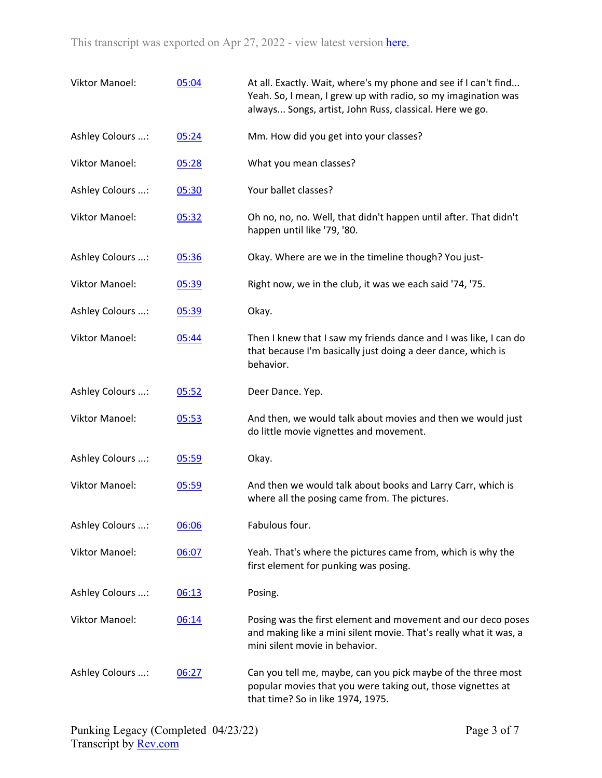| <b>Viktor Manoel:</b> | 05:04 | At all. Exactly. Wait, where's my phone and see if I can't find<br>Yeah. So, I mean, I grew up with radio, so my imagination was<br>always Songs, artist, John Russ, classical. Here we go. |
|-----------------------|-------|---------------------------------------------------------------------------------------------------------------------------------------------------------------------------------------------|
| Ashley Colours :      | 05:24 | Mm. How did you get into your classes?                                                                                                                                                      |
| <b>Viktor Manoel:</b> | 05:28 | What you mean classes?                                                                                                                                                                      |
| Ashley Colours :      | 05:30 | Your ballet classes?                                                                                                                                                                        |
| <b>Viktor Manoel:</b> | 05:32 | Oh no, no, no. Well, that didn't happen until after. That didn't<br>happen until like '79, '80.                                                                                             |
| Ashley Colours :      | 05:36 | Okay. Where are we in the timeline though? You just-                                                                                                                                        |
| <b>Viktor Manoel:</b> | 05:39 | Right now, we in the club, it was we each said '74, '75.                                                                                                                                    |
| Ashley Colours :      | 05:39 | Okay.                                                                                                                                                                                       |
| <b>Viktor Manoel:</b> | 05:44 | Then I knew that I saw my friends dance and I was like, I can do<br>that because I'm basically just doing a deer dance, which is<br>behavior.                                               |
| Ashley Colours :      | 05:52 | Deer Dance. Yep.                                                                                                                                                                            |
| <b>Viktor Manoel:</b> | 05:53 | And then, we would talk about movies and then we would just<br>do little movie vignettes and movement.                                                                                      |
| Ashley Colours :      | 05:59 | Okay.                                                                                                                                                                                       |
| <b>Viktor Manoel:</b> | 05:59 | And then we would talk about books and Larry Carr, which is<br>where all the posing came from. The pictures.                                                                                |
| Ashley Colours :      | 06:06 | Fabulous four.                                                                                                                                                                              |
| <b>Viktor Manoel:</b> | 06:07 | Yeah. That's where the pictures came from, which is why the<br>first element for punking was posing.                                                                                        |
| Ashley Colours :      | 06:13 | Posing.                                                                                                                                                                                     |
| Viktor Manoel:        | 06:14 | Posing was the first element and movement and our deco poses<br>and making like a mini silent movie. That's really what it was, a<br>mini silent movie in behavior.                         |
| Ashley Colours :      | 06:27 | Can you tell me, maybe, can you pick maybe of the three most<br>popular movies that you were taking out, those vignettes at<br>that time? So in like 1974, 1975.                            |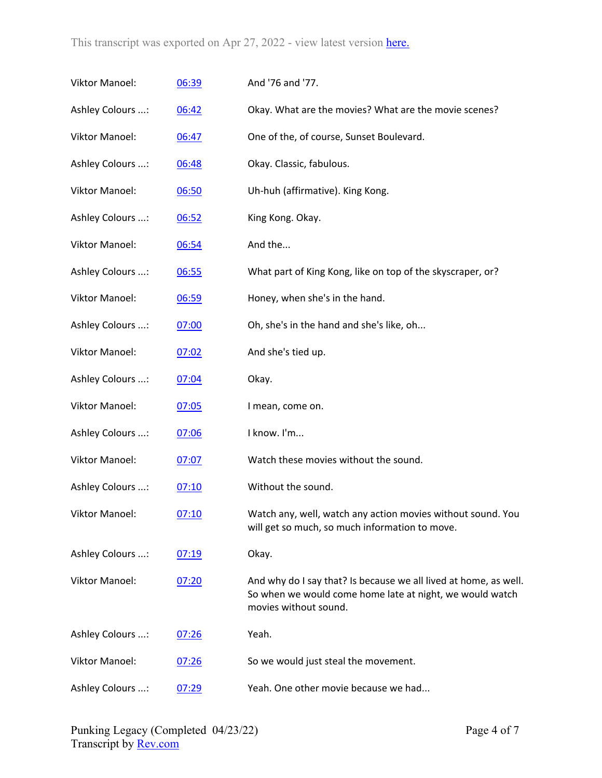| Viktor Manoel:        | 06:39 | And '76 and '77.                                                                                                                                      |
|-----------------------|-------|-------------------------------------------------------------------------------------------------------------------------------------------------------|
| Ashley Colours :      | 06:42 | Okay. What are the movies? What are the movie scenes?                                                                                                 |
| <b>Viktor Manoel:</b> | 06:47 | One of the, of course, Sunset Boulevard.                                                                                                              |
| Ashley Colours :      | 06:48 | Okay. Classic, fabulous.                                                                                                                              |
| Viktor Manoel:        | 06:50 | Uh-huh (affirmative). King Kong.                                                                                                                      |
| Ashley Colours :      | 06:52 | King Kong. Okay.                                                                                                                                      |
| <b>Viktor Manoel:</b> | 06:54 | And the                                                                                                                                               |
| Ashley Colours :      | 06:55 | What part of King Kong, like on top of the skyscraper, or?                                                                                            |
| Viktor Manoel:        | 06:59 | Honey, when she's in the hand.                                                                                                                        |
| Ashley Colours :      | 07:00 | Oh, she's in the hand and she's like, oh                                                                                                              |
| <b>Viktor Manoel:</b> | 07:02 | And she's tied up.                                                                                                                                    |
| Ashley Colours :      | 07:04 | Okay.                                                                                                                                                 |
| Viktor Manoel:        | 07:05 | I mean, come on.                                                                                                                                      |
| Ashley Colours :      | 07:06 | I know. I'm                                                                                                                                           |
| Viktor Manoel:        | 07:07 | Watch these movies without the sound.                                                                                                                 |
| Ashley Colours :      | 07:10 | Without the sound.                                                                                                                                    |
| Viktor Manoel:        | 07:10 | Watch any, well, watch any action movies without sound. You<br>will get so much, so much information to move.                                         |
| Ashley Colours :      | 07:19 | Okay.                                                                                                                                                 |
| <b>Viktor Manoel:</b> | 07:20 | And why do I say that? Is because we all lived at home, as well.<br>So when we would come home late at night, we would watch<br>movies without sound. |
| Ashley Colours :      | 07:26 | Yeah.                                                                                                                                                 |
| <b>Viktor Manoel:</b> | 07:26 | So we would just steal the movement.                                                                                                                  |
| Ashley Colours :      | 07:29 | Yeah. One other movie because we had                                                                                                                  |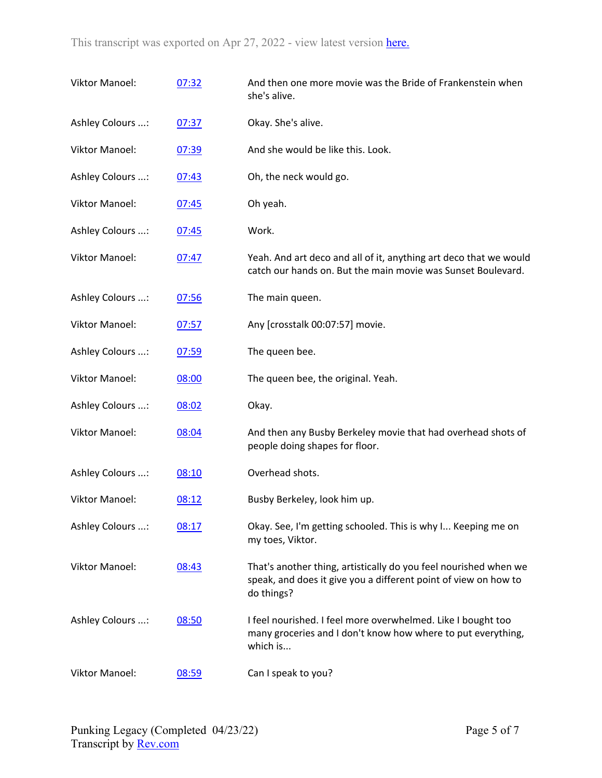| Viktor Manoel:        | 07:32 | And then one more movie was the Bride of Frankenstein when<br>she's alive.                                                                        |
|-----------------------|-------|---------------------------------------------------------------------------------------------------------------------------------------------------|
| Ashley Colours :      | 07:37 | Okay. She's alive.                                                                                                                                |
| <b>Viktor Manoel:</b> | 07:39 | And she would be like this. Look.                                                                                                                 |
| Ashley Colours :      | 07:43 | Oh, the neck would go.                                                                                                                            |
| <b>Viktor Manoel:</b> | 07:45 | Oh yeah.                                                                                                                                          |
| Ashley Colours :      | 07:45 | Work.                                                                                                                                             |
| <b>Viktor Manoel:</b> | 07:47 | Yeah. And art deco and all of it, anything art deco that we would<br>catch our hands on. But the main movie was Sunset Boulevard.                 |
| Ashley Colours :      | 07:56 | The main queen.                                                                                                                                   |
| <b>Viktor Manoel:</b> | 07:57 | Any [crosstalk 00:07:57] movie.                                                                                                                   |
| Ashley Colours :      | 07:59 | The queen bee.                                                                                                                                    |
| <b>Viktor Manoel:</b> | 08:00 | The queen bee, the original. Yeah.                                                                                                                |
| Ashley Colours :      | 08:02 | Okay.                                                                                                                                             |
| <b>Viktor Manoel:</b> | 08:04 | And then any Busby Berkeley movie that had overhead shots of<br>people doing shapes for floor.                                                    |
| Ashley Colours :      | 08:10 | Overhead shots.                                                                                                                                   |
| <b>Viktor Manoel:</b> | 08:12 | Busby Berkeley, look him up.                                                                                                                      |
| Ashley Colours :      | 08:17 | Okay. See, I'm getting schooled. This is why I Keeping me on<br>my toes, Viktor.                                                                  |
| <b>Viktor Manoel:</b> | 08:43 | That's another thing, artistically do you feel nourished when we<br>speak, and does it give you a different point of view on how to<br>do things? |
| Ashley Colours :      | 08:50 | I feel nourished. I feel more overwhelmed. Like I bought too<br>many groceries and I don't know how where to put everything,<br>which is          |
| Viktor Manoel:        | 08:59 | Can I speak to you?                                                                                                                               |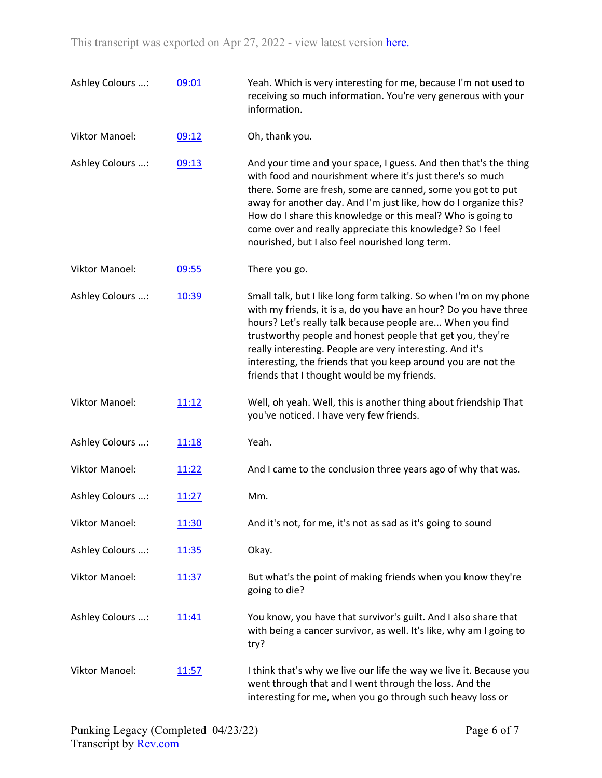| Ashley Colours :      | 09:01 | Yeah. Which is very interesting for me, because I'm not used to<br>receiving so much information. You're very generous with your<br>information.                                                                                                                                                                                                                                                                                                |
|-----------------------|-------|-------------------------------------------------------------------------------------------------------------------------------------------------------------------------------------------------------------------------------------------------------------------------------------------------------------------------------------------------------------------------------------------------------------------------------------------------|
| <b>Viktor Manoel:</b> | 09:12 | Oh, thank you.                                                                                                                                                                                                                                                                                                                                                                                                                                  |
| Ashley Colours :      | 09:13 | And your time and your space, I guess. And then that's the thing<br>with food and nourishment where it's just there's so much<br>there. Some are fresh, some are canned, some you got to put<br>away for another day. And I'm just like, how do I organize this?<br>How do I share this knowledge or this meal? Who is going to<br>come over and really appreciate this knowledge? So I feel<br>nourished, but I also feel nourished long term. |
| <b>Viktor Manoel:</b> | 09:55 | There you go.                                                                                                                                                                                                                                                                                                                                                                                                                                   |
| Ashley Colours :      | 10:39 | Small talk, but I like long form talking. So when I'm on my phone<br>with my friends, it is a, do you have an hour? Do you have three<br>hours? Let's really talk because people are When you find<br>trustworthy people and honest people that get you, they're<br>really interesting. People are very interesting. And it's<br>interesting, the friends that you keep around you are not the<br>friends that I thought would be my friends.   |
| <b>Viktor Manoel:</b> | 11:12 | Well, oh yeah. Well, this is another thing about friendship That<br>you've noticed. I have very few friends.                                                                                                                                                                                                                                                                                                                                    |
| Ashley Colours :      | 11:18 | Yeah.                                                                                                                                                                                                                                                                                                                                                                                                                                           |
| <b>Viktor Manoel:</b> | 11:22 | And I came to the conclusion three years ago of why that was.                                                                                                                                                                                                                                                                                                                                                                                   |
| Ashley Colours :      | 11:27 | Mm.                                                                                                                                                                                                                                                                                                                                                                                                                                             |
| <b>Viktor Manoel:</b> | 11:30 | And it's not, for me, it's not as sad as it's going to sound                                                                                                                                                                                                                                                                                                                                                                                    |
| Ashley Colours :      | 11:35 | Okay.                                                                                                                                                                                                                                                                                                                                                                                                                                           |
| <b>Viktor Manoel:</b> | 11:37 | But what's the point of making friends when you know they're<br>going to die?                                                                                                                                                                                                                                                                                                                                                                   |
| Ashley Colours :      | 11:41 | You know, you have that survivor's guilt. And I also share that<br>with being a cancer survivor, as well. It's like, why am I going to<br>try?                                                                                                                                                                                                                                                                                                  |
| <b>Viktor Manoel:</b> | 11:57 | I think that's why we live our life the way we live it. Because you<br>went through that and I went through the loss. And the<br>interesting for me, when you go through such heavy loss or                                                                                                                                                                                                                                                     |